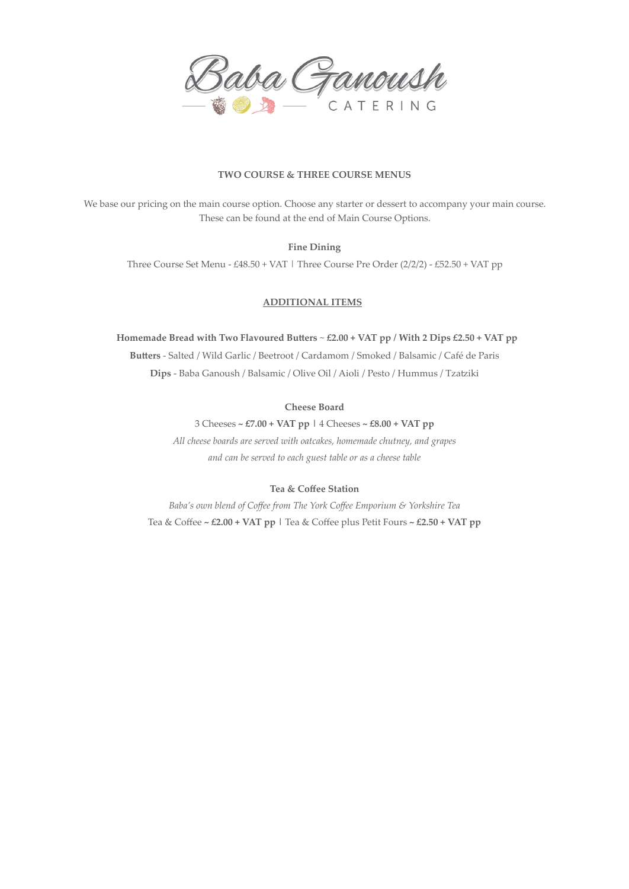

## **TWO COURSE & THREE COURSE MENUS**

We base our pricing on the main course option. Choose any starter or dessert to accompany your main course. These can be found at the end of Main Course Options.

**Fine Dining**

Three Course Set Menu - £48.50 + VAT | Three Course Pre Order (2/2/2) - £52.50 + VAT pp

## **ADDITIONAL ITEMS**

**Homemade Bread with Two Flavoured Butters** ~ **£2.00 + VAT pp / With 2 Dips £2.50 + VAT pp Butters** - Salted / Wild Garlic / Beetroot / Cardamom / Smoked / Balsamic / Café de Paris **Dips** - Baba Ganoush / Balsamic / Olive Oil / Aioli / Pesto / Hummus / Tzatziki

**Cheese Board**

3 Cheeses **~ £7.00 + VAT pp |** 4 Cheeses **~ £8.00 + VAT pp** *All cheese boards are served with oatcakes, homemade chutney, and grapes and can be served to each guest table or as a cheese table*

# **Tea & Coffee Station**

*Baba's own blend of Coffee from The York Coffee Emporium & Yorkshire Tea* Tea & Coffee **~ £2.00 + VAT pp |** Tea & Coffee plus Petit Fours **~ £2.50 + VAT pp**